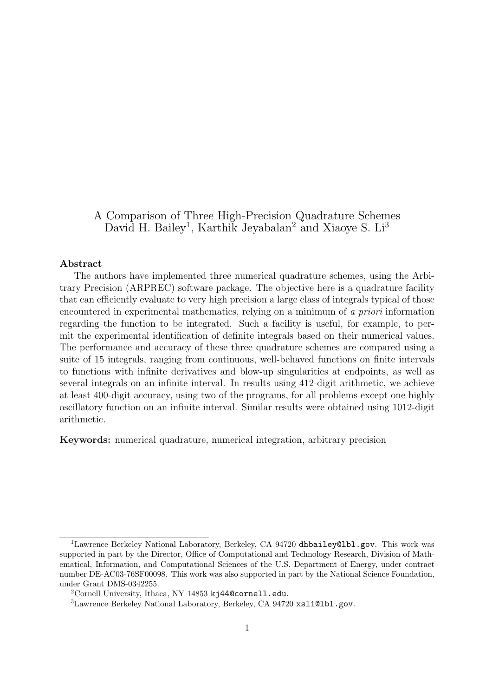# A Comparison of Three High-Precision Quadrature Schemes David H. Bailey<sup>1</sup>, Karthik Jeyabalan<sup>2</sup> and Xiaoye S. Li<sup>3</sup>

#### Abstract

The authors have implemented three numerical quadrature schemes, using the Arbitrary Precision (ARPREC) software package. The objective here is a quadrature facility that can efficiently evaluate to very high precision a large class of integrals typical of those encountered in experimental mathematics, relying on a minimum of a priori information regarding the function to be integrated. Such a facility is useful, for example, to permit the experimental identification of definite integrals based on their numerical values. The performance and accuracy of these three quadrature schemes are compared using a suite of 15 integrals, ranging from continuous, well-behaved functions on finite intervals to functions with infinite derivatives and blow-up singularities at endpoints, as well as several integrals on an infinite interval. In results using 412-digit arithmetic, we achieve at least 400-digit accuracy, using two of the programs, for all problems except one highly oscillatory function on an infinite interval. Similar results were obtained using 1012-digit arithmetic.

Keywords: numerical quadrature, numerical integration, arbitrary precision

<sup>&</sup>lt;sup>1</sup>Lawrence Berkeley National Laboratory, Berkeley, CA 94720 dhbailey@lbl.gov. This work was supported in part by the Director, Office of Computational and Technology Research, Division of Mathematical, Information, and Computational Sciences of the U.S. Department of Energy, under contract number DE-AC03-76SF00098. This work was also supported in part by the National Science Foundation, under Grant DMS-0342255.

<sup>&</sup>lt;sup>2</sup>Cornell University, Ithaca, NY 14853 kj44@cornell.edu.

<sup>3</sup>Lawrence Berkeley National Laboratory, Berkeley, CA 94720 xsli@lbl.gov.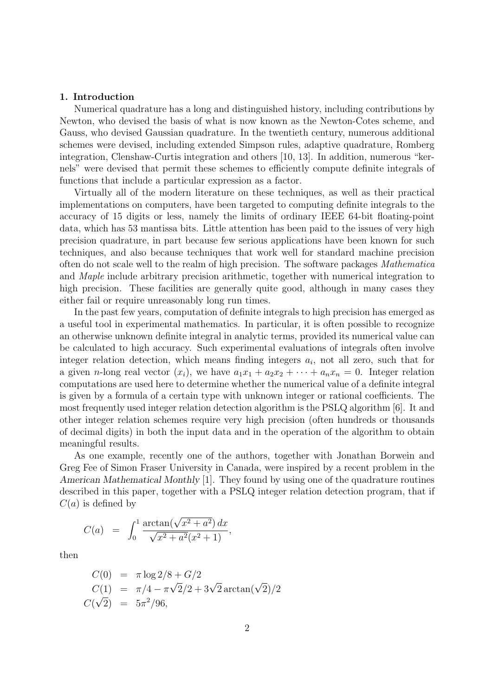#### 1. Introduction

Numerical quadrature has a long and distinguished history, including contributions by Newton, who devised the basis of what is now known as the Newton-Cotes scheme, and Gauss, who devised Gaussian quadrature. In the twentieth century, numerous additional schemes were devised, including extended Simpson rules, adaptive quadrature, Romberg integration, Clenshaw-Curtis integration and others [10, 13]. In addition, numerous "kernels" were devised that permit these schemes to efficiently compute definite integrals of functions that include a particular expression as a factor.

Virtually all of the modern literature on these techniques, as well as their practical implementations on computers, have been targeted to computing definite integrals to the accuracy of 15 digits or less, namely the limits of ordinary IEEE 64-bit floating-point data, which has 53 mantissa bits. Little attention has been paid to the issues of very high precision quadrature, in part because few serious applications have been known for such techniques, and also because techniques that work well for standard machine precision often do not scale well to the realm of high precision. The software packages Mathematica and Maple include arbitrary precision arithmetic, together with numerical integration to high precision. These facilities are generally quite good, although in many cases they either fail or require unreasonably long run times.

In the past few years, computation of definite integrals to high precision has emerged as a useful tool in experimental mathematics. In particular, it is often possible to recognize an otherwise unknown definite integral in analytic terms, provided its numerical value can be calculated to high accuracy. Such experimental evaluations of integrals often involve integer relation detection, which means finding integers  $a_i$ , not all zero, such that for a given *n*-long real vector  $(x_i)$ , we have  $a_1x_1 + a_2x_2 + \cdots + a_nx_n = 0$ . Integer relation computations are used here to determine whether the numerical value of a definite integral is given by a formula of a certain type with unknown integer or rational coefficients. The most frequently used integer relation detection algorithm is the PSLQ algorithm [6]. It and other integer relation schemes require very high precision (often hundreds or thousands of decimal digits) in both the input data and in the operation of the algorithm to obtain meaningful results.

As one example, recently one of the authors, together with Jonathan Borwein and Greg Fee of Simon Fraser University in Canada, were inspired by a recent problem in the American Mathematical Monthly [1]. They found by using one of the quadrature routines described in this paper, together with a PSLQ integer relation detection program, that if  $C(a)$  is defined by

$$
C(a) = \int_0^1 \frac{\arctan(\sqrt{x^2 + a^2}) dx}{\sqrt{x^2 + a^2}(x^2 + 1)},
$$

then

$$
C(0) = \pi \log 2/8 + G/2
$$
  
\n
$$
C(1) = \pi/4 - \pi\sqrt{2}/2 + 3\sqrt{2}\arctan(\sqrt{2})/2
$$
  
\n
$$
C(\sqrt{2}) = 5\pi^2/96,
$$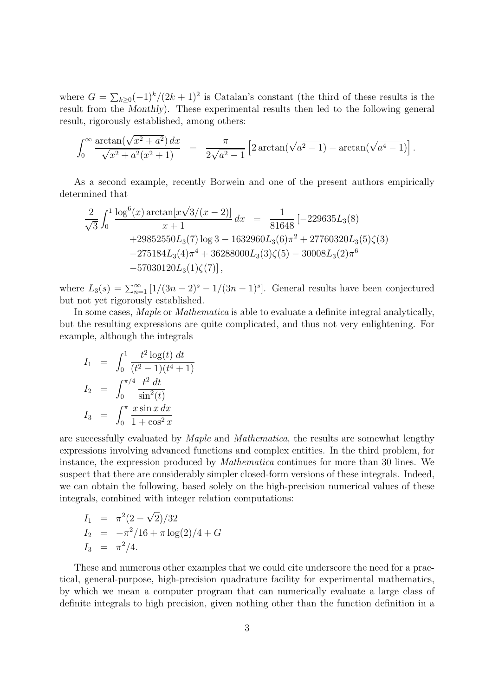where  $G = \sum$  $(k \geq 0)$  $(k \geq -1)^k/(2k+1)^2$  is Catalan's constant (the third of these results is the result from the Monthly). These experimental results then led to the following general result, rigorously established, among others:

$$
\int_0^\infty \frac{\arctan(\sqrt{x^2 + a^2}) dx}{\sqrt{x^2 + a^2}(x^2 + 1)} = \frac{\pi}{2\sqrt{a^2 - 1}} \left[ 2\arctan(\sqrt{a^2 - 1}) - \arctan(\sqrt{a^4 - 1}) \right].
$$

As a second example, recently Borwein and one of the present authors empirically determined that

$$
\frac{2}{\sqrt{3}} \int_0^1 \frac{\log^6(x) \arctan[x\sqrt{3}/(x-2)]}{x+1} dx = \frac{1}{81648} [-229635L_3(8) \n+29852550L_3(7) \log 3 - 1632960L_3(6)\pi^2 + 27760320L_3(5)\zeta(3) \n-275184L_3(4)\pi^4 + 36288000L_3(3)\zeta(5) - 30008L_3(2)\pi^6 \n-57030120L_3(1)\zeta(7)],
$$

where  $L_3(s) = \sum_{n=1}^{\infty} [1/(3n-2)^s - 1/(3n-1)^s]$ . General results have been conjectured but not yet rigorously established.

In some cases, Maple or Mathematica is able to evaluate a definite integral analytically, but the resulting expressions are quite complicated, and thus not very enlightening. For example, although the integrals

$$
I_1 = \int_0^1 \frac{t^2 \log(t) dt}{(t^2 - 1)(t^4 + 1)}
$$
  
\n
$$
I_2 = \int_0^{\pi/4} \frac{t^2 dt}{\sin^2(t)}
$$
  
\n
$$
I_3 = \int_0^{\pi} \frac{x \sin x dx}{1 + \cos^2 x}
$$

are successfully evaluated by *Maple* and *Mathematica*, the results are somewhat lengthy expressions involving advanced functions and complex entities. In the third problem, for instance, the expression produced by Mathematica continues for more than 30 lines. We suspect that there are considerably simpler closed-form versions of these integrals. Indeed, we can obtain the following, based solely on the high-precision numerical values of these integrals, combined with integer relation computations:

$$
I_1 = \pi^2 (2 - \sqrt{2}) / 32
$$
  
\n
$$
I_2 = -\pi^2 / 16 + \pi \log(2) / 4 + G
$$
  
\n
$$
I_3 = \pi^2 / 4.
$$

These and numerous other examples that we could cite underscore the need for a practical, general-purpose, high-precision quadrature facility for experimental mathematics, by which we mean a computer program that can numerically evaluate a large class of definite integrals to high precision, given nothing other than the function definition in a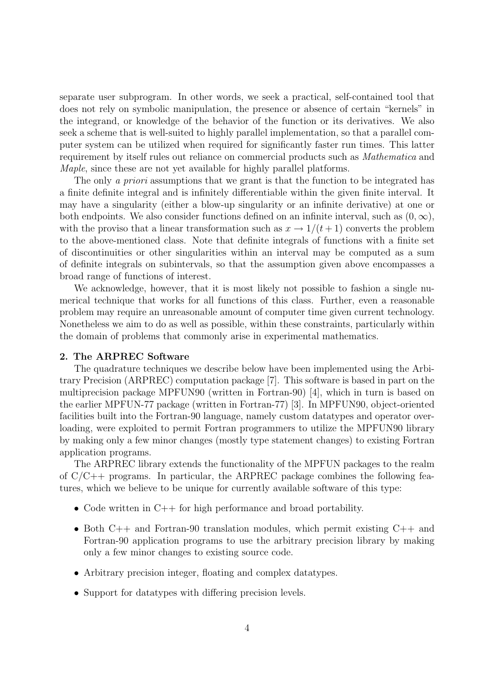separate user subprogram. In other words, we seek a practical, self-contained tool that does not rely on symbolic manipulation, the presence or absence of certain "kernels" in the integrand, or knowledge of the behavior of the function or its derivatives. We also seek a scheme that is well-suited to highly parallel implementation, so that a parallel computer system can be utilized when required for significantly faster run times. This latter requirement by itself rules out reliance on commercial products such as Mathematica and Maple, since these are not yet available for highly parallel platforms.

The only a priori assumptions that we grant is that the function to be integrated has a finite definite integral and is infinitely differentiable within the given finite interval. It may have a singularity (either a blow-up singularity or an infinite derivative) at one or both endpoints. We also consider functions defined on an infinite interval, such as  $(0, \infty)$ , with the proviso that a linear transformation such as  $x \to 1/(t+1)$  converts the problem to the above-mentioned class. Note that definite integrals of functions with a finite set of discontinuities or other singularities within an interval may be computed as a sum of definite integrals on subintervals, so that the assumption given above encompasses a broad range of functions of interest.

We acknowledge, however, that it is most likely not possible to fashion a single numerical technique that works for all functions of this class. Further, even a reasonable problem may require an unreasonable amount of computer time given current technology. Nonetheless we aim to do as well as possible, within these constraints, particularly within the domain of problems that commonly arise in experimental mathematics.

## 2. The ARPREC Software

The quadrature techniques we describe below have been implemented using the Arbitrary Precision (ARPREC) computation package [7]. This software is based in part on the multiprecision package MPFUN90 (written in Fortran-90) [4], which in turn is based on the earlier MPFUN-77 package (written in Fortran-77) [3]. In MPFUN90, object-oriented facilities built into the Fortran-90 language, namely custom datatypes and operator overloading, were exploited to permit Fortran programmers to utilize the MPFUN90 library by making only a few minor changes (mostly type statement changes) to existing Fortran application programs.

The ARPREC library extends the functionality of the MPFUN packages to the realm of  $C/C++$  programs. In particular, the ARPREC package combines the following features, which we believe to be unique for currently available software of this type:

- Code written in C++ for high performance and broad portability.
- Both C++ and Fortran-90 translation modules, which permit existing C++ and Fortran-90 application programs to use the arbitrary precision library by making only a few minor changes to existing source code.
- Arbitrary precision integer, floating and complex datatypes.
- Support for datatypes with differing precision levels.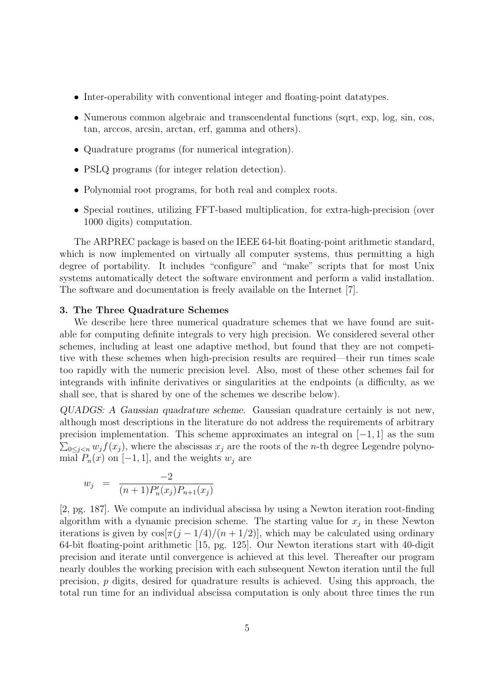- Inter-operability with conventional integer and floating-point datatypes.
- Numerous common algebraic and transcendental functions (sqrt, exp, log, sin, cos, tan, arccos, arcsin, arctan, erf, gamma and others).
- Quadrature programs (for numerical integration).
- PSLO programs (for integer relation detection).
- Polynomial root programs, for both real and complex roots.
- Special routines, utilizing FFT-based multiplication, for extra-high-precision (over 1000 digits) computation.

The ARPREC package is based on the IEEE 64-bit floating-point arithmetic standard, which is now implemented on virtually all computer systems, thus permitting a high degree of portability. It includes "configure" and "make" scripts that for most Unix systems automatically detect the software environment and perform a valid installation. The software and documentation is freely available on the Internet [7].

#### 3. The Three Quadrature Schemes

We describe here three numerical quadrature schemes that we have found are suitable for computing definite integrals to very high precision. We considered several other schemes, including at least one adaptive method, but found that they are not competitive with these schemes when high-precision results are required—their run times scale too rapidly with the numeric precision level. Also, most of these other schemes fail for integrands with infinite derivatives or singularities at the endpoints (a difficulty, as we shall see, that is shared by one of the schemes we describe below).

QUADGS: A Gaussian quadrature scheme. Gaussian quadrature certainly is not new, although most descriptions in the literature do not address the requirements of arbitrary precision implementation. This scheme approximates an integral on  $[-1, 1]$  as the sum  $\sum_{0 \le i \le n} w_i f(x_i)$ , where the abscissas  $x_i$  are the roots of the *n*-th degree Legendre polynomial  $P_n(x)$  on [−1, 1], and the weights  $w_i$  are

$$
w_j = \frac{-2}{(n+1)P'_n(x_j)P_{n+1}(x_j)}
$$

[2, pg. 187]. We compute an individual abscissa by using a Newton iteration root-finding algorithm with a dynamic precision scheme. The starting value for  $x_j$  in these Newton iterations is given by  $\cos[\pi(j-1/4)/(n+1/2)]$ , which may be calculated using ordinary 64-bit floating-point arithmetic [15, pg. 125]. Our Newton iterations start with 40-digit precision and iterate until convergence is achieved at this level. Thereafter our program nearly doubles the working precision with each subsequent Newton iteration until the full precision, p digits, desired for quadrature results is achieved. Using this approach, the total run time for an individual abscissa computation is only about three times the run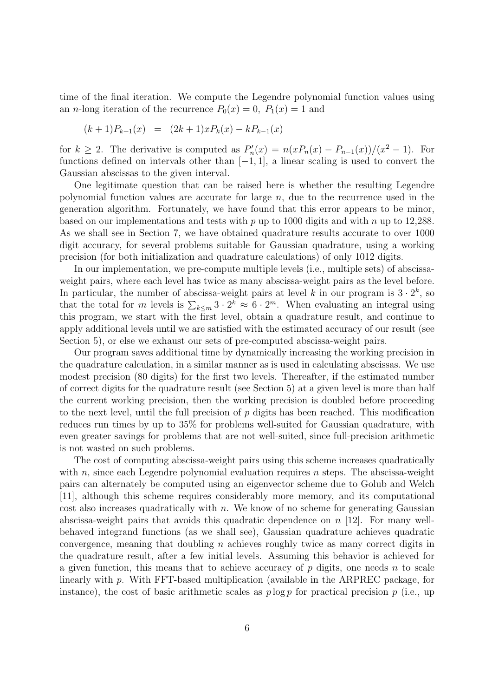time of the final iteration. We compute the Legendre polynomial function values using an *n*-long iteration of the recurrence  $P_0(x) = 0$ ,  $P_1(x) = 1$  and

$$
(k+1)P_{k+1}(x) = (2k+1)xP_k(x) - kP_{k-1}(x)
$$

for  $k \ge 2$ . The derivative is computed as  $P'_n(x) = n(xP_n(x) - P_{n-1}(x))/(x^2 - 1)$ . For functions defined on intervals other than  $[-1, 1]$ , a linear scaling is used to convert the Gaussian abscissas to the given interval.

One legitimate question that can be raised here is whether the resulting Legendre polynomial function values are accurate for large n, due to the recurrence used in the generation algorithm. Fortunately, we have found that this error appears to be minor, based on our implementations and tests with  $p$  up to 1000 digits and with  $n$  up to 12,288. As we shall see in Section 7, we have obtained quadrature results accurate to over 1000 digit accuracy, for several problems suitable for Gaussian quadrature, using a working precision (for both initialization and quadrature calculations) of only 1012 digits.

In our implementation, we pre-compute multiple levels (i.e., multiple sets) of abscissaweight pairs, where each level has twice as many abscissa-weight pairs as the level before. In particular, the number of abscissa-weight pairs at level k in our program is  $3 \cdot 2^k$ , so that the total for m levels is  $\sum_{k \leq m} 3 \cdot 2^k \approx 6 \cdot 2^m$ . When evaluating an integral using this program, we start with the first level, obtain a quadrature result, and continue to apply additional levels until we are satisfied with the estimated accuracy of our result (see Section 5), or else we exhaust our sets of pre-computed abscissa-weight pairs.

Our program saves additional time by dynamically increasing the working precision in the quadrature calculation, in a similar manner as is used in calculating abscissas. We use modest precision (80 digits) for the first two levels. Thereafter, if the estimated number of correct digits for the quadrature result (see Section 5) at a given level is more than half the current working precision, then the working precision is doubled before proceeding to the next level, until the full precision of  $p$  digits has been reached. This modification reduces run times by up to 35% for problems well-suited for Gaussian quadrature, with even greater savings for problems that are not well-suited, since full-precision arithmetic is not wasted on such problems.

The cost of computing abscissa-weight pairs using this scheme increases quadratically with n, since each Legendre polynomial evaluation requires n steps. The abscissa-weight pairs can alternately be computed using an eigenvector scheme due to Golub and Welch [11], although this scheme requires considerably more memory, and its computational cost also increases quadratically with  $n$ . We know of no scheme for generating Gaussian abscissa-weight pairs that avoids this quadratic dependence on  $n$  [12]. For many wellbehaved integrand functions (as we shall see), Gaussian quadrature achieves quadratic convergence, meaning that doubling  $n$  achieves roughly twice as many correct digits in the quadrature result, after a few initial levels. Assuming this behavior is achieved for a given function, this means that to achieve accuracy of  $p$  digits, one needs  $n$  to scale linearly with p. With FFT-based multiplication (available in the ARPREC package, for instance), the cost of basic arithmetic scales as  $p \log p$  for practical precision p (i.e., up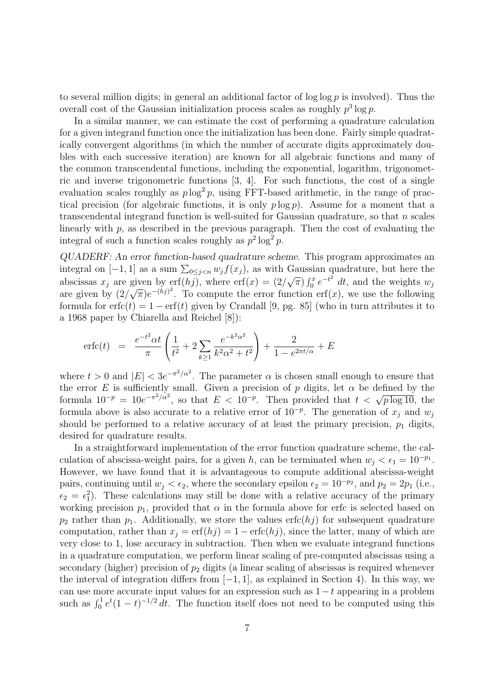to several million digits; in general an additional factor of  $\log \log p$  is involved). Thus the overall cost of the Gaussian initialization process scales as roughly  $p^3 \log p$ .

In a similar manner, we can estimate the cost of performing a quadrature calculation for a given integrand function once the initialization has been done. Fairly simple quadratically convergent algorithms (in which the number of accurate digits approximately doubles with each successive iteration) are known for all algebraic functions and many of the common transcendental functions, including the exponential, logarithm, trigonometric and inverse trigonometric functions [3, 4]. For such functions, the cost of a single evaluation scales roughly as  $p \log^2 p$ , using FFT-based arithmetic, in the range of practical precision (for algebraic functions, it is only  $p \log p$ ). Assume for a moment that a transcendental integrand function is well-suited for Gaussian quadrature, so that  $n$  scales linearly with  $p$ , as described in the previous paragraph. Then the cost of evaluating the integral of such a function scales roughly as  $p^2 \log^2 p$ .

QUADERF: An error function-based quadrature scheme. This program approximates an integral on  $[-1, 1]$  as a sum  $\sum_{0 \le j \le n} w_j f(x_j)$ , as with Gaussian quadrature, but here the abscissas  $x_j$  are given by erf(hj), where erf(x) = (2/ √  $\frac{\pi}{\pi}$ )  $\int_0^x$  $e^{-t^2}$  dt, and the weights  $w_j$ are given by (2/  $\mathsf{R}^1$  $\overline{\pi}$ )e<sup>-(hj)<sup>2</sup>. To compute the error function erf(x), we use the following</sup> formula for  $erfc(t) = 1 - erf(t)$  given by Crandall [9, pg. 85] (who in turn attributes it to a 1968 paper by Chiarella and Reichel [8]):

$$
\text{erfc}(t) = \frac{e^{-t^2} \alpha t}{\pi} \left( \frac{1}{t^2} + 2 \sum_{k \ge 1} \frac{e^{-k^2 \alpha^2}}{k^2 \alpha^2 + t^2} \right) + \frac{2}{1 - e^{2\pi t/\alpha}} + E
$$

where  $t > 0$  and  $|E| < 3e^{-\pi^2/\alpha^2}$ . The parameter  $\alpha$  is chosen small enough to ensure that the error E is sufficiently small. Given a precision of p digits, let  $\alpha$  be defined by the the error E is sumclemity small. Given a precision of p digits, let  $\alpha$  be defined by the formula  $10^{-p} = 10e^{-\pi^2/\alpha^2}$ , so that  $E < 10^{-p}$ . Then provided that  $t < \sqrt{p \log 10}$ , the formula above is also accurate to a relative error of  $10^{-p}$ . The generation of  $x_j$  and  $w_j$ should be performed to a relative accuracy of at least the primary precision,  $p_1$  digits, desired for quadrature results.

In a straightforward implementation of the error function quadrature scheme, the calculation of abscissa-weight pairs, for a given h, can be terminated when  $w_j < \epsilon_1 = 10^{-p_1}$ . However, we have found that it is advantageous to compute additional abscissa-weight pairs, continuing until  $w_j < \epsilon_2$ , where the secondary epsilon  $\epsilon_2 = 10^{-p_2}$ , and  $p_2 = 2p_1$  (i.e.,  $\epsilon_2 = \epsilon_1^2$ ). These calculations may still be done with a relative accuracy of the primary working precision  $p_1$ , provided that  $\alpha$  in the formula above for erfc is selected based on  $p_2$  rather than  $p_1$ . Additionally, we store the values erfc(hj) for subsequent quadrature computation, rather than  $x_j = erf(hj) = 1 - erfc(hj)$ , since the latter, many of which are very close to 1, lose accuracy in subtraction. Then when we evaluate integrand functions in a quadrature computation, we perform linear scaling of pre-computed abscissas using a secondary (higher) precision of  $p_2$  digits (a linear scaling of abscissas is required whenever the interval of integration differs from  $[-1, 1]$ , as explained in Section 4). In this way, we can use more accurate input values for an expression such as  $1 - t$  appearing in a problem such as  $\int_0^1 e^t (1-t)^{-1/2} dt$ . The function itself does not need to be computed using this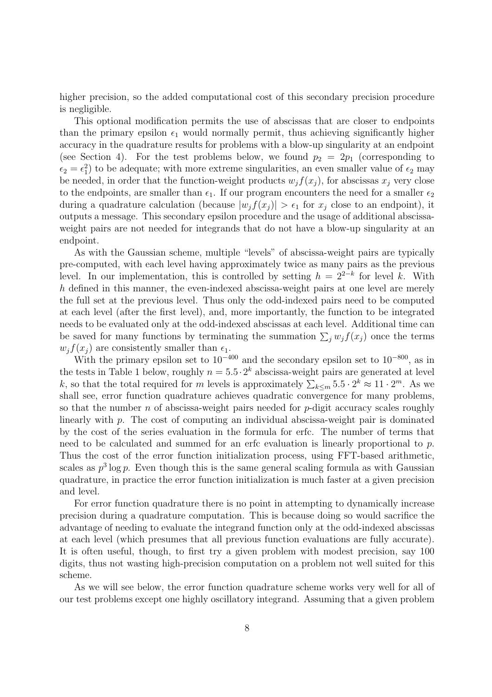higher precision, so the added computational cost of this secondary precision procedure is negligible.

This optional modification permits the use of abscissas that are closer to endpoints than the primary epsilon  $\epsilon_1$  would normally permit, thus achieving significantly higher accuracy in the quadrature results for problems with a blow-up singularity at an endpoint (see Section 4). For the test problems below, we found  $p_2 = 2p_1$  (corresponding to  $\epsilon_2 = \epsilon_1^2$ ) to be adequate; with more extreme singularities, an even smaller value of  $\epsilon_2$  may be needed, in order that the function-weight products  $w_j f(x_j)$ , for abscissas  $x_j$  very close to the endpoints, are smaller than  $\epsilon_1$ . If our program encounters the need for a smaller  $\epsilon_2$ during a quadrature calculation (because  $|w_j f(x_j)| > \epsilon_1$  for  $x_j$  close to an endpoint), it outputs a message. This secondary epsilon procedure and the usage of additional abscissaweight pairs are not needed for integrands that do not have a blow-up singularity at an endpoint.

As with the Gaussian scheme, multiple "levels" of abscissa-weight pairs are typically pre-computed, with each level having approximately twice as many pairs as the previous level. In our implementation, this is controlled by setting  $h = 2^{2-k}$  for level k. With h defined in this manner, the even-indexed abscissa-weight pairs at one level are merely the full set at the previous level. Thus only the odd-indexed pairs need to be computed at each level (after the first level), and, more importantly, the function to be integrated needs to be evaluated only at the odd-indexed abscissas at each level. Additional time can be saved for many functions by terminating the summation  $\sum_j w_j f(x_j)$  once the terms  $w_j f(x_j)$  are consistently smaller than  $\epsilon_1$ .

With the primary epsilon set to  $10^{-400}$  and the secondary epsilon set to  $10^{-800}$ , as in the tests in Table 1 below, roughly  $n = 5.5 \cdot 2^k$  abscissa-weight pairs are generated at level k, so that the total required for m levels is approximately  $\sum_{k \le m} 5.5 \cdot 2^k \approx 11 \cdot 2^m$ . As we shall see, error function quadrature achieves quadratic convergence for many problems, so that the number n of abscissa-weight pairs needed for p-digit accuracy scales roughly linearly with p. The cost of computing an individual abscissa-weight pair is dominated by the cost of the series evaluation in the formula for erfc. The number of terms that need to be calculated and summed for an erfc evaluation is linearly proportional to p. Thus the cost of the error function initialization process, using FFT-based arithmetic, scales as  $p^3 \log p$ . Even though this is the same general scaling formula as with Gaussian quadrature, in practice the error function initialization is much faster at a given precision and level.

For error function quadrature there is no point in attempting to dynamically increase precision during a quadrature computation. This is because doing so would sacrifice the advantage of needing to evaluate the integrand function only at the odd-indexed abscissas at each level (which presumes that all previous function evaluations are fully accurate). It is often useful, though, to first try a given problem with modest precision, say 100 digits, thus not wasting high-precision computation on a problem not well suited for this scheme.

As we will see below, the error function quadrature scheme works very well for all of our test problems except one highly oscillatory integrand. Assuming that a given problem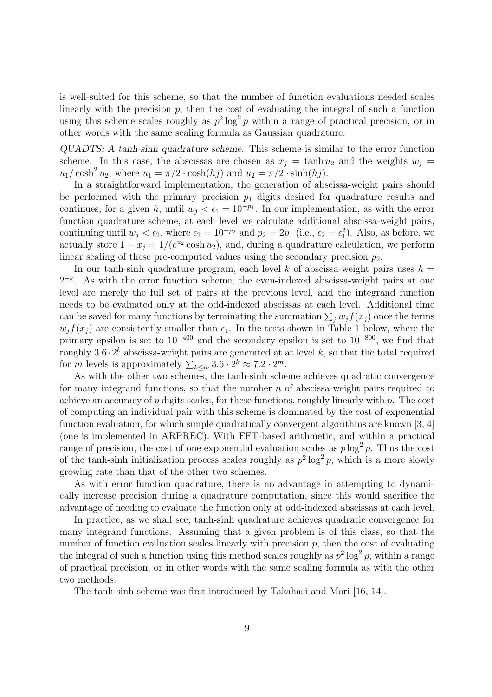is well-suited for this scheme, so that the number of function evaluations needed scales linearly with the precision  $p$ , then the cost of evaluating the integral of such a function using this scheme scales roughly as  $p^2 \log^2 p$  within a range of practical precision, or in other words with the same scaling formula as Gaussian quadrature.

QUADTS: A tanh-sinh quadrature scheme. This scheme is similar to the error function scheme. In this case, the abscissas are chosen as  $x_i = \tanh u_2$  and the weights  $w_i =$  $u_1/\cosh^2 u_2$ , where  $u_1 = \pi/2 \cdot \cosh(hj)$  and  $u_2 = \pi/2 \cdot \sinh(hj)$ .

In a straightforward implementation, the generation of abscissa-weight pairs should be performed with the primary precision  $p_1$  digits desired for quadrature results and continues, for a given h, until  $w_j < \epsilon_1 = 10^{-p_1}$ . In our implementation, as with the error function quadrature scheme, at each level we calculate additional abscissa-weight pairs, continuing until  $w_j < \epsilon_2$ , where  $\epsilon_2 = 10^{-p_2}$  and  $p_2 = 2p_1$  (i.e.,  $\epsilon_2 = \epsilon_1^2$ ). Also, as before, we actually store  $1 - x_j = 1/(e^{u_2} \cosh u_2)$ , and, during a quadrature calculation, we perform linear scaling of these pre-computed values using the secondary precision  $p_2$ .

In our tanh-sinh quadrature program, each level k of abscissa-weight pairs uses  $h =$  $2^{-k}$ . As with the error function scheme, the even-indexed abscissa-weight pairs at one level are merely the full set of pairs at the previous level, and the integrand function needs to be evaluated only at the odd-indexed abscissas at each level. Additional time can be saved for many functions by terminating the summation  $\sum_j w_j f(x_j)$  once the terms  $w_j f(x_j)$  are consistently smaller than  $\epsilon_1$ . In the tests shown in Table 1 below, where the primary epsilon is set to  $10^{-400}$  and the secondary epsilon is set to  $10^{-800}$ , we find that roughly  $3.6 \cdot 2^k$  abscissa-weight pairs are generated at at level k, so that the total required for *m* levels is approximately  $\sum_{k \le m} 3.6 \cdot 2^k \approx 7.2 \cdot 2^m$ .

As with the other two schemes, the tanh-sinh scheme achieves quadratic convergence for many integrand functions, so that the number n of abscissa-weight pairs required to achieve an accuracy of p digits scales, for these functions, roughly linearly with p. The cost of computing an individual pair with this scheme is dominated by the cost of exponential function evaluation, for which simple quadratically convergent algorithms are known [3, 4] (one is implemented in ARPREC). With FFT-based arithmetic, and within a practical range of precision, the cost of one exponential evaluation scales as  $p \log^2 p$ . Thus the cost of the tanh-sinh initialization process scales roughly as  $p^2 \log^2 p$ , which is a more slowly growing rate than that of the other two schemes.

As with error function quadrature, there is no advantage in attempting to dynamically increase precision during a quadrature computation, since this would sacrifice the advantage of needing to evaluate the function only at odd-indexed abscissas at each level.

In practice, as we shall see, tanh-sinh quadrature achieves quadratic convergence for many integrand functions. Assuming that a given problem is of this class, so that the number of function evaluation scales linearly with precision  $p$ , then the cost of evaluating the integral of such a function using this method scales roughly as  $p^2 \log^2 p$ , within a range of practical precision, or in other words with the same scaling formula as with the other two methods.

The tanh-sinh scheme was first introduced by Takahasi and Mori [16, 14].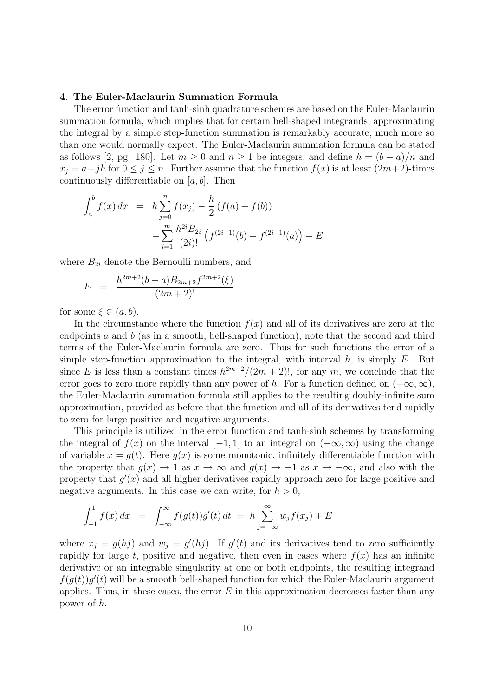#### 4. The Euler-Maclaurin Summation Formula

The error function and tanh-sinh quadrature schemes are based on the Euler-Maclaurin summation formula, which implies that for certain bell-shaped integrands, approximating the integral by a simple step-function summation is remarkably accurate, much more so than one would normally expect. The Euler-Maclaurin summation formula can be stated as follows [2, pg. 180]. Let  $m \geq 0$  and  $n \geq 1$  be integers, and define  $h = (b - a)/n$  and  $x_j = a+jh$  for  $0 \leq j \leq n$ . Further assume that the function  $f(x)$  is at least  $(2m+2)$ -times continuously differentiable on  $[a, b]$ . Then

$$
\int_{a}^{b} f(x) dx = h \sum_{j=0}^{n} f(x_{j}) - \frac{h}{2} (f(a) + f(b))
$$

$$
- \sum_{i=1}^{m} \frac{h^{2i} B_{2i}}{(2i)!} (f^{(2i-1)}(b) - f^{(2i-1)}(a)) - E
$$

where  $B_{2i}$  denote the Bernoulli numbers, and

$$
E = \frac{h^{2m+2}(b-a)B_{2m+2}f^{2m+2}(\xi)}{(2m+2)!}
$$

for some  $\xi \in (a, b)$ .

In the circumstance where the function  $f(x)$  and all of its derivatives are zero at the endpoints a and  $b$  (as in a smooth, bell-shaped function), note that the second and third terms of the Euler-Maclaurin formula are zero. Thus for such functions the error of a simple step-function approximation to the integral, with interval  $h$ , is simply  $E$ . But since E is less than a constant times  $h^{2m+2}/(2m+2)!$ , for any m, we conclude that the error goes to zero more rapidly than any power of h. For a function defined on  $(-\infty, \infty)$ , the Euler-Maclaurin summation formula still applies to the resulting doubly-infinite sum approximation, provided as before that the function and all of its derivatives tend rapidly to zero for large positive and negative arguments.

This principle is utilized in the error function and tanh-sinh schemes by transforming the integral of  $f(x)$  on the interval [−1, 1] to an integral on (−∞, ∞) using the change of variable  $x = g(t)$ . Here  $g(x)$  is some monotonic, infinitely differentiable function with the property that  $q(x) \to 1$  as  $x \to \infty$  and  $q(x) \to -1$  as  $x \to -\infty$ , and also with the property that  $g'(x)$  and all higher derivatives rapidly approach zero for large positive and negative arguments. In this case we can write, for  $h > 0$ ,

$$
\int_{-1}^{1} f(x) dx = \int_{-\infty}^{\infty} f(g(t))g'(t) dt = h \sum_{j=-\infty}^{\infty} w_j f(x_j) + E
$$

where  $x_j = g(hj)$  and  $w_j = g'(hj)$ . If  $g'(t)$  and its derivatives tend to zero sufficiently rapidly for large t, positive and negative, then even in cases where  $f(x)$  has an infinite derivative or an integrable singularity at one or both endpoints, the resulting integrand  $f(g(t))g'(t)$  will be a smooth bell-shaped function for which the Euler-Maclaurin argument applies. Thus, in these cases, the error  $E$  in this approximation decreases faster than any power of h.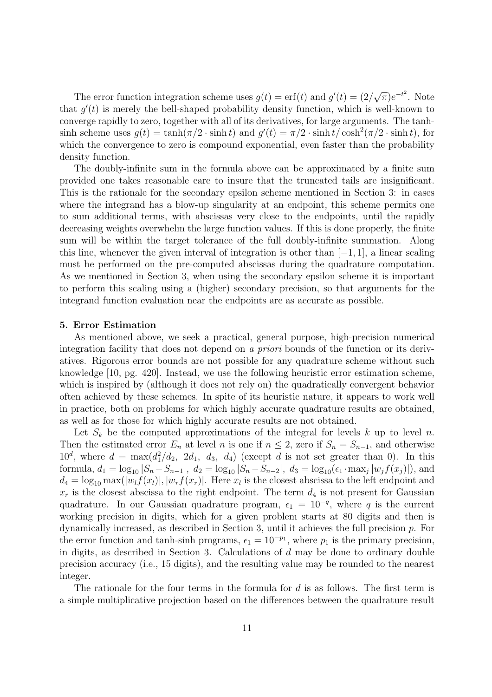The error function integration scheme uses  $g(t) = erf(t)$  and  $g'(t) = (2)$ √  $\overline{\pi}$ ) $e^{-t^2}$ . Note that  $g'(t)$  is merely the bell-shaped probability density function, which is well-known to converge rapidly to zero, together with all of its derivatives, for large arguments. The tanhsinh scheme uses  $g(t) = \tanh(\pi/2 \cdot \sinh t)$  and  $g'(t) = \pi/2 \cdot \sinh t / \cosh^2(\pi/2 \cdot \sinh t)$ , for which the convergence to zero is compound exponential, even faster than the probability density function.

The doubly-infinite sum in the formula above can be approximated by a finite sum provided one takes reasonable care to insure that the truncated tails are insignificant. This is the rationale for the secondary epsilon scheme mentioned in Section 3: in cases where the integrand has a blow-up singularity at an endpoint, this scheme permits one to sum additional terms, with abscissas very close to the endpoints, until the rapidly decreasing weights overwhelm the large function values. If this is done properly, the finite sum will be within the target tolerance of the full doubly-infinite summation. Along this line, whenever the given interval of integration is other than  $[-1, 1]$ , a linear scaling must be performed on the pre-computed abscissas during the quadrature computation. As we mentioned in Section 3, when using the secondary epsilon scheme it is important to perform this scaling using a (higher) secondary precision, so that arguments for the integrand function evaluation near the endpoints are as accurate as possible.

#### 5. Error Estimation

As mentioned above, we seek a practical, general purpose, high-precision numerical integration facility that does not depend on a priori bounds of the function or its derivatives. Rigorous error bounds are not possible for any quadrature scheme without such knowledge [10, pg. 420]. Instead, we use the following heuristic error estimation scheme, which is inspired by (although it does not rely on) the quadratically convergent behavior often achieved by these schemes. In spite of its heuristic nature, it appears to work well in practice, both on problems for which highly accurate quadrature results are obtained, as well as for those for which highly accurate results are not obtained.

Let  $S_k$  be the computed approximations of the integral for levels k up to level n. Then the estimated error  $E_n$  at level n is one if  $n \leq 2$ , zero if  $S_n = S_{n-1}$ , and otherwise  $10^d$ , where  $d = \max(d_1^2/d_2, 2d_1, d_3, d_4)$  (except d is not set greater than 0). In this formula,  $d_1 = \log_{10} |S_n - S_{n-1}|$ ,  $d_2 = \log_{10} |S_n - S_{n-2}|$ ,  $d_3 = \log_{10}(\epsilon_1 \cdot \max_j |w_j f(x_j)|)$ , and  $d_4 = \log_{10} \max(|w_l f(x_l)|, |w_r f(x_r)|)$ . Here  $x_l$  is the closest abscissa to the left endpoint and  $x_r$  is the closest abscissa to the right endpoint. The term  $d_4$  is not present for Gaussian quadrature. In our Gaussian quadrature program,  $\epsilon_1 = 10^{-q}$ , where q is the current working precision in digits, which for a given problem starts at 80 digits and then is dynamically increased, as described in Section 3, until it achieves the full precision p. For the error function and tanh-sinh programs,  $\epsilon_1 = 10^{-p_1}$ , where  $p_1$  is the primary precision, in digits, as described in Section 3. Calculations of  $d$  may be done to ordinary double precision accuracy (i.e., 15 digits), and the resulting value may be rounded to the nearest integer.

The rationale for the four terms in the formula for  $d$  is as follows. The first term is a simple multiplicative projection based on the differences between the quadrature result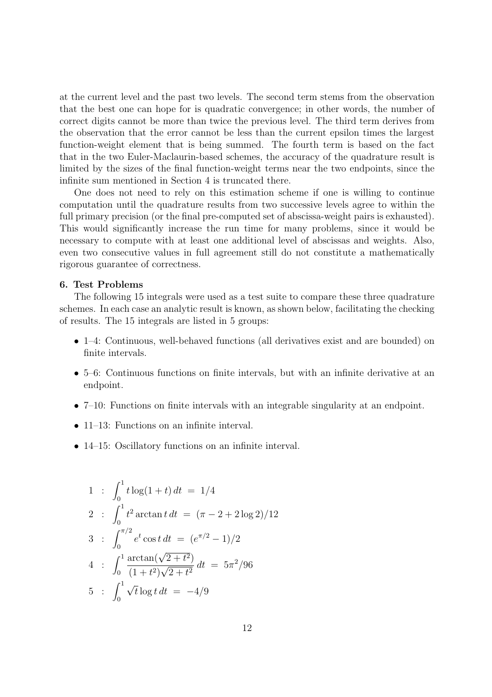at the current level and the past two levels. The second term stems from the observation that the best one can hope for is quadratic convergence; in other words, the number of correct digits cannot be more than twice the previous level. The third term derives from the observation that the error cannot be less than the current epsilon times the largest function-weight element that is being summed. The fourth term is based on the fact that in the two Euler-Maclaurin-based schemes, the accuracy of the quadrature result is limited by the sizes of the final function-weight terms near the two endpoints, since the infinite sum mentioned in Section 4 is truncated there.

One does not need to rely on this estimation scheme if one is willing to continue computation until the quadrature results from two successive levels agree to within the full primary precision (or the final pre-computed set of abscissa-weight pairs is exhausted). This would significantly increase the run time for many problems, since it would be necessary to compute with at least one additional level of abscissas and weights. Also, even two consecutive values in full agreement still do not constitute a mathematically rigorous guarantee of correctness.

### 6. Test Problems

The following 15 integrals were used as a test suite to compare these three quadrature schemes. In each case an analytic result is known, as shown below, facilitating the checking of results. The 15 integrals are listed in 5 groups:

- 1–4: Continuous, well-behaved functions (all derivatives exist and are bounded) on finite intervals.
- 5–6: Continuous functions on finite intervals, but with an infinite derivative at an endpoint.
- 7–10: Functions on finite intervals with an integrable singularity at an endpoint.
- 11–13: Functions on an infinite interval.
- 14–15: Oscillatory functions on an infinite interval.

1 : 
$$
\int_0^1 t \log(1+t) dt = 1/4
$$
  
\n2 :  $\int_0^1 t^2 \arctan t dt = (\pi - 2 + 2 \log 2)/12$   
\n3 :  $\int_0^{\pi/2} e^t \cos t dt = (e^{\pi/2} - 1)/2$   
\n4 :  $\int_0^1 \frac{\arctan(\sqrt{2 + t^2})}{(1 + t^2)\sqrt{2 + t^2}} dt = 5\pi^2/96$   
\n5 :  $\int_0^1 \sqrt{t} \log t dt = -4/9$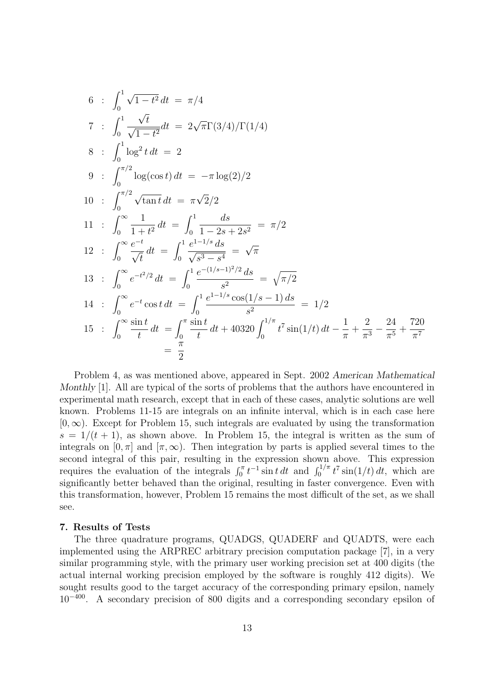$$
6: \int_0^1 \sqrt{1-t^2} dt = \pi/4
$$
  
\n
$$
7: \int_0^1 \frac{\sqrt{t}}{\sqrt{1-t^2}} dt = 2\sqrt{\pi} \Gamma(3/4) / \Gamma(1/4)
$$
  
\n
$$
8: \int_0^1 \log^2 t dt = 2
$$
  
\n
$$
9: \int_0^{\pi/2} \log(\cos t) dt = -\pi \log(2)/2
$$
  
\n
$$
10: \int_0^{\pi/2} \sqrt{\tan t} dt = \pi \sqrt{2}/2
$$
  
\n
$$
11: \int_0^{\infty} \frac{1}{1+t^2} dt = \int_0^1 \frac{ds}{1-2s+2s^2} = \pi/2
$$
  
\n
$$
12: \int_0^{\infty} \frac{e^{-t}}{\sqrt{t}} dt = \int_0^1 \frac{e^{1-1/s} ds}{\sqrt{s^3 - s^4}} = \sqrt{\pi}
$$
  
\n
$$
13: \int_0^{\infty} e^{-t^2/2} dt = \int_0^1 \frac{e^{-(1/s-1)^2/2} ds}{s^2} = \sqrt{\pi/2}
$$
  
\n
$$
14: \int_0^{\infty} e^{-t} \cos t dt = \int_0^1 \frac{e^{1-1/s} \cos(1/s-1) ds}{s^2} = 1/2
$$
  
\n
$$
15: \int_0^{\infty} \frac{\sin t}{t} dt = \int_0^{\pi} \frac{\sin t}{t} dt + 40320 \int_0^{1/\pi} t^7 \sin(1/t) dt - \frac{1}{\pi} + \frac{2}{\pi^3} - \frac{24}{\pi^5} + \frac{720}{\pi^7}
$$
  
\n
$$
= \frac{\pi}{2}
$$

Problem 4, as was mentioned above, appeared in Sept. 2002 American Mathematical Monthly [1]. All are typical of the sorts of problems that the authors have encountered in experimental math research, except that in each of these cases, analytic solutions are well known. Problems 11-15 are integrals on an infinite interval, which is in each case here  $[0, \infty)$ . Except for Problem 15, such integrals are evaluated by using the transformation  $s = 1/(t + 1)$ , as shown above. In Problem 15, the integral is written as the sum of integrals on  $[0, \pi]$  and  $[\pi, \infty)$ . Then integration by parts is applied several times to the second integral of this pair, resulting in the expression shown above. This expression requires the evaluation of the integrals  $\int_0^{\pi} t^{-1} \sin t \, dt$  and  $\int_0^{1/\pi} t^7 \sin(1/t) \, dt$ , which are significantly better behaved than the original, resulting in faster convergence. Even with this transformation, however, Problem 15 remains the most difficult of the set, as we shall see.

#### 7. Results of Tests

The three quadrature programs, QUADGS, QUADERF and QUADTS, were each implemented using the ARPREC arbitrary precision computation package [7], in a very similar programming style, with the primary user working precision set at 400 digits (the actual internal working precision employed by the software is roughly 412 digits). We sought results good to the target accuracy of the corresponding primary epsilon, namely 10<sup>−</sup><sup>400</sup>. A secondary precision of 800 digits and a corresponding secondary epsilon of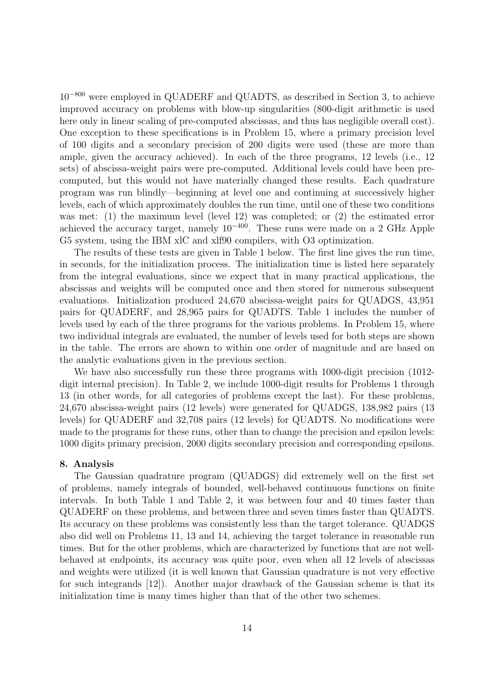10<sup>−</sup><sup>800</sup> were employed in QUADERF and QUADTS, as described in Section 3, to achieve improved accuracy on problems with blow-up singularities (800-digit arithmetic is used here only in linear scaling of pre-computed abscissas, and thus has negligible overall cost). One exception to these specifications is in Problem 15, where a primary precision level of 100 digits and a secondary precision of 200 digits were used (these are more than ample, given the accuracy achieved). In each of the three programs, 12 levels (i.e., 12 sets) of abscissa-weight pairs were pre-computed. Additional levels could have been precomputed, but this would not have materially changed these results. Each quadrature program was run blindly—beginning at level one and continuing at successively higher levels, each of which approximately doubles the run time, until one of these two conditions was met: (1) the maximum level (level 12) was completed; or (2) the estimated error achieved the accuracy target, namely  $10^{-400}$ . These runs were made on a 2 GHz Apple G5 system, using the IBM xlC and xlf90 compilers, with O3 optimization.

The results of these tests are given in Table 1 below. The first line gives the run time, in seconds, for the initialization process. The initialization time is listed here separately from the integral evaluations, since we expect that in many practical applications, the abscissas and weights will be computed once and then stored for numerous subsequent evaluations. Initialization produced 24,670 abscissa-weight pairs for QUADGS, 43,951 pairs for QUADERF, and 28,965 pairs for QUADTS. Table 1 includes the number of levels used by each of the three programs for the various problems. In Problem 15, where two individual integrals are evaluated, the number of levels used for both steps are shown in the table. The errors are shown to within one order of magnitude and are based on the analytic evaluations given in the previous section.

We have also successfully run these three programs with 1000-digit precision (1012 digit internal precision). In Table 2, we include 1000-digit results for Problems 1 through 13 (in other words, for all categories of problems except the last). For these problems, 24,670 abscissa-weight pairs (12 levels) were generated for QUADGS, 138,982 pairs (13 levels) for QUADERF and 32,708 pairs (12 levels) for QUADTS. No modifications were made to the programs for these runs, other than to change the precision and epsilon levels: 1000 digits primary precision, 2000 digits secondary precision and corresponding epsilons.

#### 8. Analysis

The Gaussian quadrature program (QUADGS) did extremely well on the first set of problems, namely integrals of bounded, well-behaved continuous functions on finite intervals. In both Table 1 and Table 2, it was between four and 40 times faster than QUADERF on these problems, and between three and seven times faster than QUADTS. Its accuracy on these problems was consistently less than the target tolerance. QUADGS also did well on Problems 11, 13 and 14, achieving the target tolerance in reasonable run times. But for the other problems, which are characterized by functions that are not wellbehaved at endpoints, its accuracy was quite poor, even when all 12 levels of abscissas and weights were utilized (it is well known that Gaussian quadrature is not very effective for such integrands [12]). Another major drawback of the Gaussian scheme is that its initialization time is many times higher than that of the other two schemes.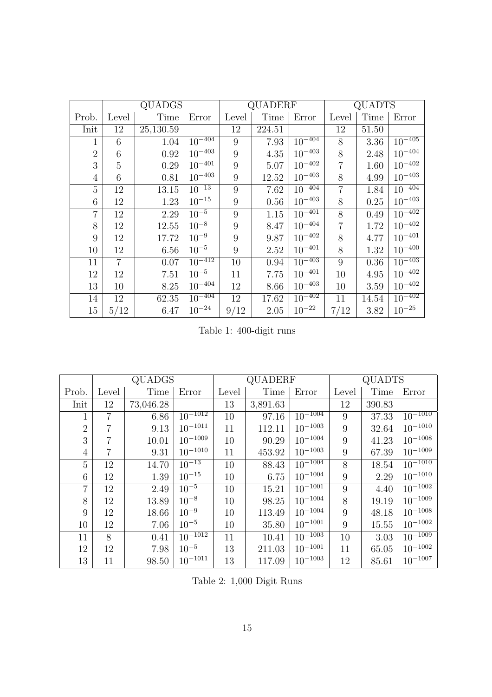|                | QUADGS         |           |             | <b>QUADERF</b> |        |             | <b>QUADTS</b>  |       |             |
|----------------|----------------|-----------|-------------|----------------|--------|-------------|----------------|-------|-------------|
| Prob.          | Level          | Time      | Error       | Level          | Time   | Error       | Level          | Time  | Error       |
| Init           | 12             | 25,130.59 |             | 12             | 224.51 |             | 12             | 51.50 |             |
| $\mathbf{1}$   | 6              | 1.04      | $10^{-404}$ | 9              | 7.93   | $10^{-404}$ | 8              | 3.36  | $10^{-405}$ |
| $\overline{2}$ | 6              | 0.92      | $10^{-403}$ | 9              | 4.35   | $10^{-403}$ | 8              | 2.48  | $10^{-404}$ |
| 3              | $\overline{5}$ | 0.29      | $10^{-401}$ | 9              | 5.07   | $10^{-402}$ | 7              | 1.60  | $10^{-402}$ |
| 4              | 6              | 0.81      | $10^{-403}$ | 9              | 12.52  | $10^{-403}$ | 8              | 4.99  | $10^{-403}$ |
| 5              | 12             | 13.15     | $10^{-13}$  | 9              | 7.62   | $10^{-404}$ | $\overline{7}$ | 1.84  | $10^{-404}$ |
| 6              | 12             | 1.23      | $10^{-15}$  | 9              | 0.56   | $10^{-403}$ | 8              | 0.25  | $10^{-403}$ |
| $\overline{7}$ | 12             | 2.29      | $10^{-5}$   | 9              | 1.15   | $10^{-401}$ | 8              | 0.49  | $10^{-402}$ |
| 8              | 12             | 12.55     | $10^{-8}$   | 9              | 8.47   | $10^{-404}$ | $\overline{7}$ | 1.72  | $10^{-402}$ |
| 9              | 12             | 17.72     | $10^{-9}$   | 9              | 9.87   | $10^{-402}$ | 8              | 4.77  | $10^{-401}$ |
| 10             | 12             | 6.56      | $10^{-5}$   | 9              | 2.52   | $10^{-401}$ | 8              | 1.32  | $10^{-400}$ |
| 11             | $\overline{7}$ | 0.07      | $10^{-412}$ | 10             | 0.94   | $10^{-403}$ | 9              | 0.36  | $10^{-403}$ |
| 12             | 12             | 7.51      | $10^{-5}$   | 11             | 7.75   | $10^{-401}$ | 10             | 4.95  | $10^{-402}$ |
| 13             | 10             | 8.25      | $10^{-404}$ | 12             | 8.66   | $10^{-403}$ | 10             | 3.59  | $10^{-402}$ |
| 14             | 12             | 62.35     | $10^{-404}$ | 12             | 17.62  | $10^{-402}$ | 11             | 14.54 | $10^{-402}$ |
| 15             | 5/12           | 6.47      | $10^{-24}$  | 9/12           | 2.05   | $10^{-22}$  | 7/12           | 3.82  | $10^{-25}$  |

Table 1: 400-digit runs

|                | QUADGS         |           |              | <b>QUADERF</b> |          |              | <b>QUADTS</b> |        |                |
|----------------|----------------|-----------|--------------|----------------|----------|--------------|---------------|--------|----------------|
| Prob.          | Level          | Time      | Error        | Level          | Time     | Error        | Level         | Time   | Error          |
| Init           | 12             | 73,046.28 |              | 13             | 3,891.63 |              | 12            | 390.83 |                |
| 1              | $\overline{7}$ | 6.86      | $10^{-1012}$ | 10             | 97.16    | $10^{-1004}$ | 9             | 37.33  | $10^{-1010}$   |
| $\overline{2}$ | 7              | 9.13      | $10^{-1011}$ | 11             | 112.11   | $10^{-1003}$ | 9             | 32.64  | $10^{-1010}$   |
| 3              |                | 10.01     | $10^{-1009}$ | 10             | 90.29    | $10^{-1004}$ | 9             | 41.23  | $10^{-1008}$   |
| $\overline{4}$ |                | 9.31      | $10^{-1010}$ | 11             | 453.92   | $10^{-1003}$ | 9             | 67.39  | $10^{-1009}$   |
| $\overline{5}$ | 12             | 14.70     | $10^{-13}$   | 10             | 88.43    | $10^{-1004}$ | 8             | 18.54  | $10^{-1010}$   |
| 6              | 12             | 1.39      | $10^{-15}$   | 10             | 6.75     | $10^{-1004}$ | 9             | 2.29   | $10^{-1010}$   |
| $\overline{7}$ | 12             | 2.49      | $10^{-5}$    | 10             | 15.21    | $10^{-1001}$ | 9             | 4.40   | $10^{-1002}$   |
| 8              | 12             | 13.89     | $10^{-8}$    | 10             | 98.25    | $10^{-1004}$ | 8             | 19.19  | $10^{-1009}$   |
| 9              | 12             | 18.66     | $10^{-9}$    | 10             | 113.49   | $10^{-1004}$ | 9             | 48.18  | $10^{-1008}$   |
| 10             | 12             | 7.06      | $10^{-5}$    | 10             | 35.80    | $10^{-1001}$ | 9             | 15.55  | $10^{-1002}$   |
| 11             | 8              | 0.41      | $10^{-1012}$ | 11             | 10.41    | $10^{-1003}$ | 10            | 3.03   | $10^{-1009}$   |
| 12             | 12             | 7.98      | $10^{-5}$    | 13             | 211.03   | $10^{-1001}$ | 11            | 65.05  | $10^{-1002}$   |
| 13             | 11             | 98.50     | $10^{-1011}$ | 13             | 117.09   | $10^{-1003}$ | 12            | 85.61  | $10^{-1007}\,$ |

Table 2: 1,000 Digit Runs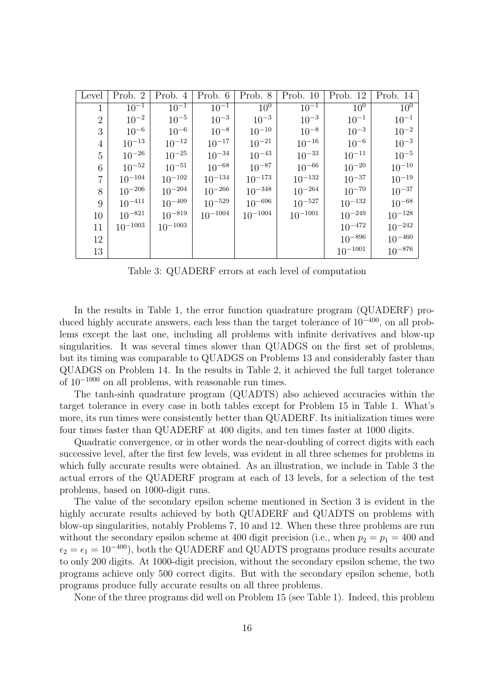| Level          | Prob. 2      | Prob. 4      | Prob. 6      | Prob. 8           | Prob. $10$   | Prob. 12        | Prob. 14        |
|----------------|--------------|--------------|--------------|-------------------|--------------|-----------------|-----------------|
| 1              | $10^{-1}$    | $10^{-1}$    | $10^{-1}$    | $\overline{10^0}$ | $10^{-1}$    | 10 <sup>0</sup> | 10 <sup>0</sup> |
| $\overline{2}$ | $10^{-2}$    | $10^{-5}$    | $10^{-3}$    | $10^{-3}$         | $10^{-3}$    | $10^{-1}$       | $10^{-1}$       |
| 3              | $10^{-6}$    | $10^{-6}$    | $10^{-8}$    | $10^{-10}$        | $10^{-8}$    | $10^{-3}$       | $10^{-2}$       |
| 4              | $10^{-13}$   | $10^{-12}$   | $10^{-17}$   | $10^{-21}$        | $10^{-16}$   | $10^{-6}$       | $10^{-3}$       |
| 5              | $10^{-26}$   | $10^{-25}$   | $10^{-34}$   | $10^{-43}$        | $10^{-33}$   | $10^{-11}$      | $10^{-5}$       |
| 6              | $10^{-52}$   | $10^{-51}$   | $10^{-68}$   | $10^{-87}$        | $10^{-66}$   | $10^{-20}$      | $10^{-10}$      |
| 7              | $10^{-104}$  | $10^{-102}$  | $10^{-134}$  | $10^{-173}$       | $10^{-132}$  | $10^{-37}$      | $10^{-19}$      |
| 8              | $10^{-206}$  | $10^{-204}$  | $10^{-266}$  | $10^{-348}$       | $10^{-264}$  | $10^{-70}$      | $10^{-37}$      |
| 9              | $10^{-411}$  | $10^{-409}$  | $10^{-529}$  | $10^{-696}$       | $10^{-527}$  | $10^{-132}$     | $10^{-68}$      |
| 10             | $10^{-821}$  | $10^{-819}$  | $10^{-1004}$ | $10^{-1004}$      | $10^{-1001}$ | $10^{-249}$     | $10^{-128}$     |
| 11             | $10^{-1003}$ | $10^{-1003}$ |              |                   |              | $10^{-472}$     | $10^{-242}$     |
| 12             |              |              |              |                   |              | $10^{-896}$     | $10^{-460}$     |
| 13             |              |              |              |                   |              | $10^{-1001}$    | $10^{-876}$     |

Table 3: QUADERF errors at each level of computation

In the results in Table 1, the error function quadrature program (QUADERF) produced highly accurate answers, each less than the target tolerance of  $10^{-400}$ , on all problems except the last one, including all problems with infinite derivatives and blow-up singularities. It was several times slower than QUADGS on the first set of problems, but its timing was comparable to QUADGS on Problems 13 and considerably faster than QUADGS on Problem 14. In the results in Table 2, it achieved the full target tolerance of 10<sup>−</sup><sup>1000</sup> on all problems, with reasonable run times.

The tanh-sinh quadrature program (QUADTS) also achieved accuracies within the target tolerance in every case in both tables except for Problem 15 in Table 1. What's more, its run times were consistently better than QUADERF. Its initialization times were four times faster than QUADERF at 400 digits, and ten times faster at 1000 digits.

Quadratic convergence, or in other words the near-doubling of correct digits with each successive level, after the first few levels, was evident in all three schemes for problems in which fully accurate results were obtained. As an illustration, we include in Table 3 the actual errors of the QUADERF program at each of 13 levels, for a selection of the test problems, based on 1000-digit runs.

The value of the secondary epsilon scheme mentioned in Section 3 is evident in the highly accurate results achieved by both QUADERF and QUADTS on problems with blow-up singularities, notably Problems 7, 10 and 12. When these three problems are run without the secondary epsilon scheme at 400 digit precision (i.e., when  $p_2 = p_1 = 400$  and  $\epsilon_2 = \epsilon_1 = 10^{-400}$ , both the QUADERF and QUADTS programs produce results accurate to only 200 digits. At 1000-digit precision, without the secondary epsilon scheme, the two programs achieve only 500 correct digits. But with the secondary epsilon scheme, both programs produce fully accurate results on all three problems.

None of the three programs did well on Problem 15 (see Table 1). Indeed, this problem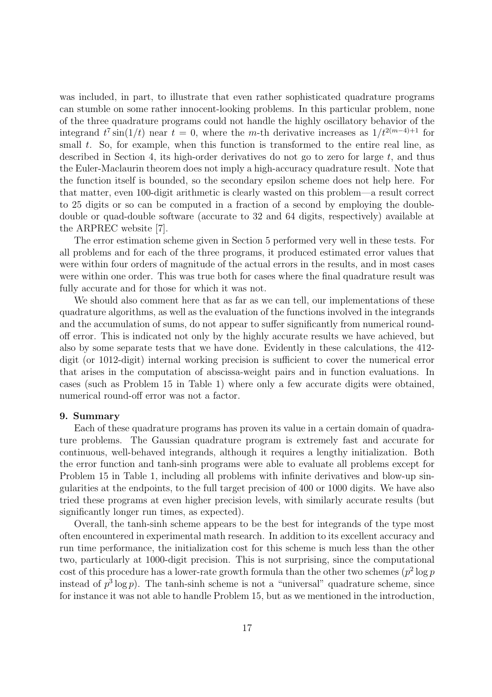was included, in part, to illustrate that even rather sophisticated quadrature programs can stumble on some rather innocent-looking problems. In this particular problem, none of the three quadrature programs could not handle the highly oscillatory behavior of the integrand  $t^7 \sin(1/t)$  near  $t = 0$ , where the m-th derivative increases as  $1/t^{2(m-4)+1}$  for small  $t$ . So, for example, when this function is transformed to the entire real line, as described in Section 4, its high-order derivatives do not go to zero for large  $t$ , and thus the Euler-Maclaurin theorem does not imply a high-accuracy quadrature result. Note that the function itself is bounded, so the secondary epsilon scheme does not help here. For that matter, even 100-digit arithmetic is clearly wasted on this problem—a result correct to 25 digits or so can be computed in a fraction of a second by employing the doubledouble or quad-double software (accurate to 32 and 64 digits, respectively) available at the ARPREC website [7].

The error estimation scheme given in Section 5 performed very well in these tests. For all problems and for each of the three programs, it produced estimated error values that were within four orders of magnitude of the actual errors in the results, and in most cases were within one order. This was true both for cases where the final quadrature result was fully accurate and for those for which it was not.

We should also comment here that as far as we can tell, our implementations of these quadrature algorithms, as well as the evaluation of the functions involved in the integrands and the accumulation of sums, do not appear to suffer significantly from numerical roundoff error. This is indicated not only by the highly accurate results we have achieved, but also by some separate tests that we have done. Evidently in these calculations, the 412 digit (or 1012-digit) internal working precision is sufficient to cover the numerical error that arises in the computation of abscissa-weight pairs and in function evaluations. In cases (such as Problem 15 in Table 1) where only a few accurate digits were obtained, numerical round-off error was not a factor.

#### 9. Summary

Each of these quadrature programs has proven its value in a certain domain of quadrature problems. The Gaussian quadrature program is extremely fast and accurate for continuous, well-behaved integrands, although it requires a lengthy initialization. Both the error function and tanh-sinh programs were able to evaluate all problems except for Problem 15 in Table 1, including all problems with infinite derivatives and blow-up singularities at the endpoints, to the full target precision of 400 or 1000 digits. We have also tried these programs at even higher precision levels, with similarly accurate results (but significantly longer run times, as expected).

Overall, the tanh-sinh scheme appears to be the best for integrands of the type most often encountered in experimental math research. In addition to its excellent accuracy and run time performance, the initialization cost for this scheme is much less than the other two, particularly at 1000-digit precision. This is not surprising, since the computational cost of this procedure has a lower-rate growth formula than the other two schemes  $(p^2 \log p)$ instead of  $p^3 \log p$ ). The tanh-sinh scheme is not a "universal" quadrature scheme, since for instance it was not able to handle Problem 15, but as we mentioned in the introduction,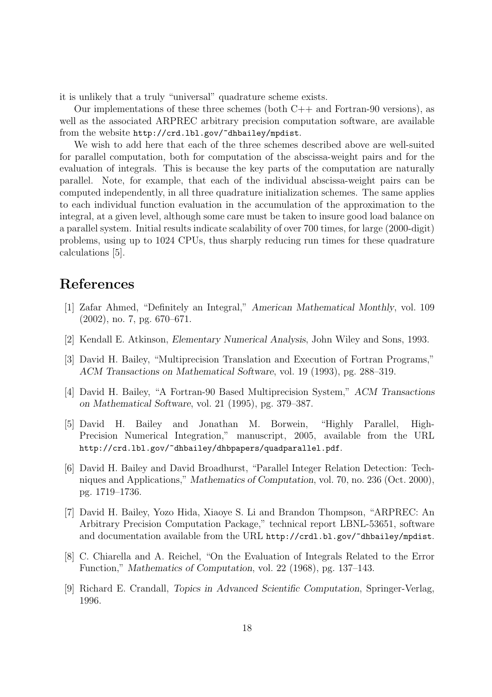it is unlikely that a truly "universal" quadrature scheme exists.

Our implementations of these three schemes (both  $C++$  and Fortran-90 versions), as well as the associated ARPREC arbitrary precision computation software, are available from the website http://crd.lbl.gov/~dhbailey/mpdist.

We wish to add here that each of the three schemes described above are well-suited for parallel computation, both for computation of the abscissa-weight pairs and for the evaluation of integrals. This is because the key parts of the computation are naturally parallel. Note, for example, that each of the individual abscissa-weight pairs can be computed independently, in all three quadrature initialization schemes. The same applies to each individual function evaluation in the accumulation of the approximation to the integral, at a given level, although some care must be taken to insure good load balance on a parallel system. Initial results indicate scalability of over 700 times, for large (2000-digit) problems, using up to 1024 CPUs, thus sharply reducing run times for these quadrature calculations [5].

# References

- [1] Zafar Ahmed, "Definitely an Integral," American Mathematical Monthly, vol. 109 (2002), no. 7, pg. 670–671.
- [2] Kendall E. Atkinson, Elementary Numerical Analysis, John Wiley and Sons, 1993.
- [3] David H. Bailey, "Multiprecision Translation and Execution of Fortran Programs," ACM Transactions on Mathematical Software, vol. 19 (1993), pg. 288–319.
- [4] David H. Bailey, "A Fortran-90 Based Multiprecision System," ACM Transactions on Mathematical Software, vol. 21 (1995), pg. 379–387.
- [5] David H. Bailey and Jonathan M. Borwein, "Highly Parallel, High-Precision Numerical Integration," manuscript, 2005, available from the URL http://crd.lbl.gov/~dhbailey/dhbpapers/quadparallel.pdf.
- [6] David H. Bailey and David Broadhurst, "Parallel Integer Relation Detection: Techniques and Applications," Mathematics of Computation, vol. 70, no. 236 (Oct. 2000), pg. 1719–1736.
- [7] David H. Bailey, Yozo Hida, Xiaoye S. Li and Brandon Thompson, "ARPREC: An Arbitrary Precision Computation Package," technical report LBNL-53651, software and documentation available from the URL http://crdl.bl.gov/~dhbailey/mpdist.
- [8] C. Chiarella and A. Reichel, "On the Evaluation of Integrals Related to the Error Function," Mathematics of Computation, vol. 22 (1968), pg. 137–143.
- [9] Richard E. Crandall, Topics in Advanced Scientific Computation, Springer-Verlag, 1996.